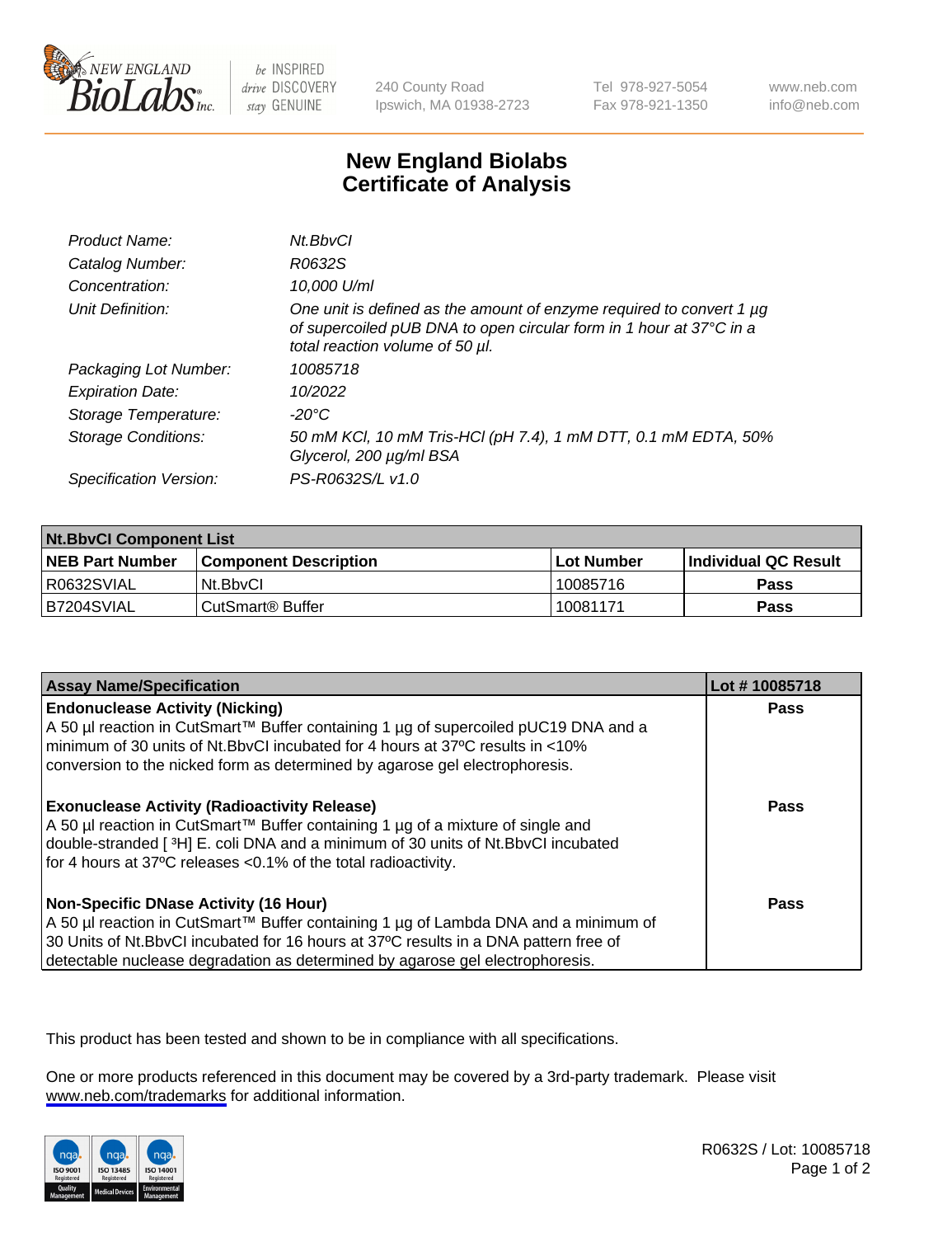

be INSPIRED drive DISCOVERY stay GENUINE

240 County Road Ipswich, MA 01938-2723 Tel 978-927-5054 Fax 978-921-1350

www.neb.com info@neb.com

## **New England Biolabs Certificate of Analysis**

| Product Name:              | Nt.BbvCl                                                                                                                                                                            |
|----------------------------|-------------------------------------------------------------------------------------------------------------------------------------------------------------------------------------|
| Catalog Number:            | R0632S                                                                                                                                                                              |
| Concentration:             | 10,000 U/ml                                                                                                                                                                         |
| Unit Definition:           | One unit is defined as the amount of enzyme required to convert 1 $\mu$ g<br>of supercoiled pUB DNA to open circular form in 1 hour at 37°C in a<br>total reaction volume of 50 µl. |
| Packaging Lot Number:      | 10085718                                                                                                                                                                            |
| <b>Expiration Date:</b>    | 10/2022                                                                                                                                                                             |
| Storage Temperature:       | -20°C                                                                                                                                                                               |
| <b>Storage Conditions:</b> | 50 mM KCl, 10 mM Tris-HCl (pH 7.4), 1 mM DTT, 0.1 mM EDTA, 50%<br>Glycerol, 200 µg/ml BSA                                                                                           |
| Specification Version:     | PS-R0632S/L v1.0                                                                                                                                                                    |

| <b>Nt.BbvCl Component List</b> |                              |            |                             |  |
|--------------------------------|------------------------------|------------|-----------------------------|--|
| <b>NEB Part Number</b>         | <b>Component Description</b> | Lot Number | <b>Individual QC Result</b> |  |
| I R0632SVIAL                   | Nt.BbvCl                     | 10085716   | Pass                        |  |
| IB7204SVIAL                    | CutSmart® Buffer             | 10081171   | <b>Pass</b>                 |  |

| <b>Assay Name/Specification</b>                                                                                                                                                                                                                                                                                | Lot #10085718 |
|----------------------------------------------------------------------------------------------------------------------------------------------------------------------------------------------------------------------------------------------------------------------------------------------------------------|---------------|
| <b>Endonuclease Activity (Nicking)</b><br>  A 50 µl reaction in CutSmart™ Buffer containing 1 µg of supercoiled pUC19 DNA and a<br>minimum of 30 units of Nt.BbvCI incubated for 4 hours at 37°C results in <10%<br>conversion to the nicked form as determined by agarose gel electrophoresis.                | <b>Pass</b>   |
| <b>Exonuclease Activity (Radioactivity Release)</b><br>  A 50 µl reaction in CutSmart™ Buffer containing 1 µg of a mixture of single and<br>double-stranded [3H] E. coli DNA and a minimum of 30 units of Nt.BbvCl incubated<br>for 4 hours at 37°C releases <0.1% of the total radioactivity.                 | <b>Pass</b>   |
| <b>Non-Specific DNase Activity (16 Hour)</b><br>  A 50 µl reaction in CutSmart™ Buffer containing 1 µg of Lambda DNA and a minimum of<br>30 Units of Nt.BbvCl incubated for 16 hours at 37°C results in a DNA pattern free of<br>detectable nuclease degradation as determined by agarose gel electrophoresis. | <b>Pass</b>   |

This product has been tested and shown to be in compliance with all specifications.

One or more products referenced in this document may be covered by a 3rd-party trademark. Please visit <www.neb.com/trademarks>for additional information.